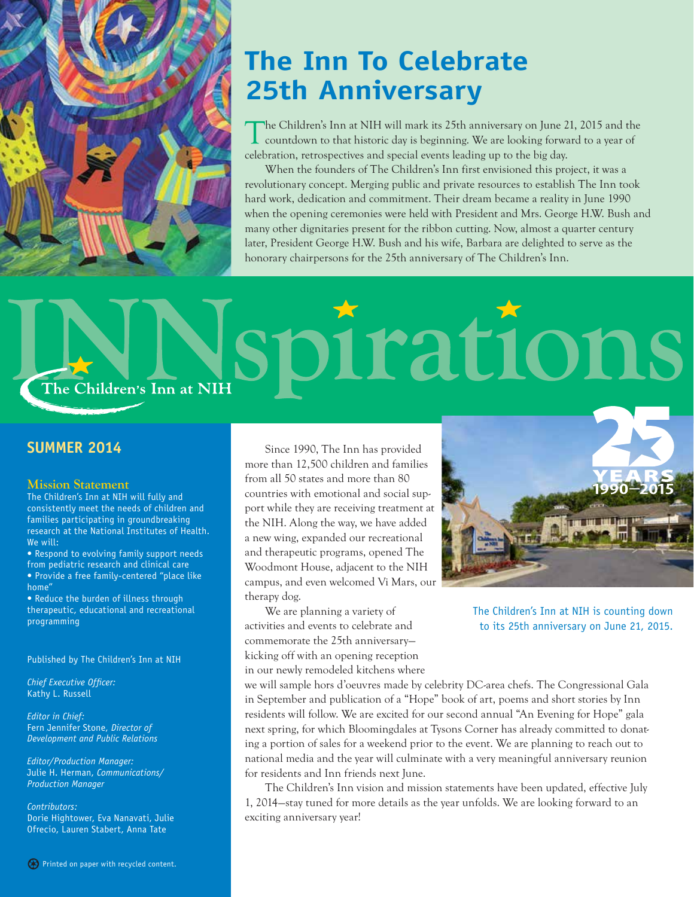

# **The Inn To Celebrate 25th Anniversary**

The Children's Inn at NIH will mark its 25th anniversary on June 21, 2015 and the countdown to that historic day is beginning. We are looking forward to a year of celebration, retrospectives and special events leading up to the big day.

When the founders of The Children's Inn first envisioned this project, it was a revolutionary concept. Merging public and private resources to establish The Inn took hard work, dedication and commitment. Their dream became a reality in June 1990 when the opening ceremonies were held with President and Mrs. George H.W. Bush and many other dignitaries present for the ribbon cutting. Now, almost a quarter century later, President George H.W. Bush and his wife, Barbara are delighted to serve as the honorary chairpersons for the 25th anniversary of The Children's Inn.

# rat ON The Children's Inn at NIH

### **SUMMER 2014**

### **Mission Statement**

The Children's Inn at NIH will fully and consistently meet the needs of children and families participating in groundbreaking research at the National Institutes of Health. We will:

• Respond to evolving family support needs from pediatric research and clinical care • Provide a free family-centered "place like home"

• Reduce the burden of illness through therapeutic, educational and recreational programming

Published by The Children's Inn at NIH

*Chief Executive Officer:* Kathy L. Russell

*Editor in Chief:* Fern Jennifer Stone, *Director of Development and Public Relations*

*Editor/Production Manager:* Julie H. Herman, *Communications/ Production Manager*

*Contributors:* Dorie Hightower, Eva Nanavati, Julie Ofrecio, Lauren Stabert, Anna Tate

Since 1990, The Inn has provided more than 12,500 children and families from all 50 states and more than 80 countries with emotional and social support while they are receiving treatment at the NIH. Along the way, we have added a new wing, expanded our recreational and therapeutic programs, opened The Woodmont House, adjacent to the NIH campus, and even welcomed Vi Mars, our therapy dog.

We are planning a variety of activities and events to celebrate and commemorate the 25th anniversary kicking off with an opening reception in our newly remodeled kitchens where



The Children's Inn at NIH is counting down to its 25th anniversary on June 21, 2015.

we will sample hors d'oeuvres made by celebrity DC-area chefs. The Congressional Gala in September and publication of a "Hope" book of art, poems and short stories by Inn residents will follow. We are excited for our second annual "An Evening for Hope" gala next spring, for which Bloomingdales at Tysons Corner has already committed to donating a portion of sales for a weekend prior to the event. We are planning to reach out to national media and the year will culminate with a very meaningful anniversary reunion for residents and Inn friends next June.

The Children's Inn vision and mission statements have been updated, effective July 1, 2014—stay tuned for more details as the year unfolds. We are looking forward to an exciting anniversary year!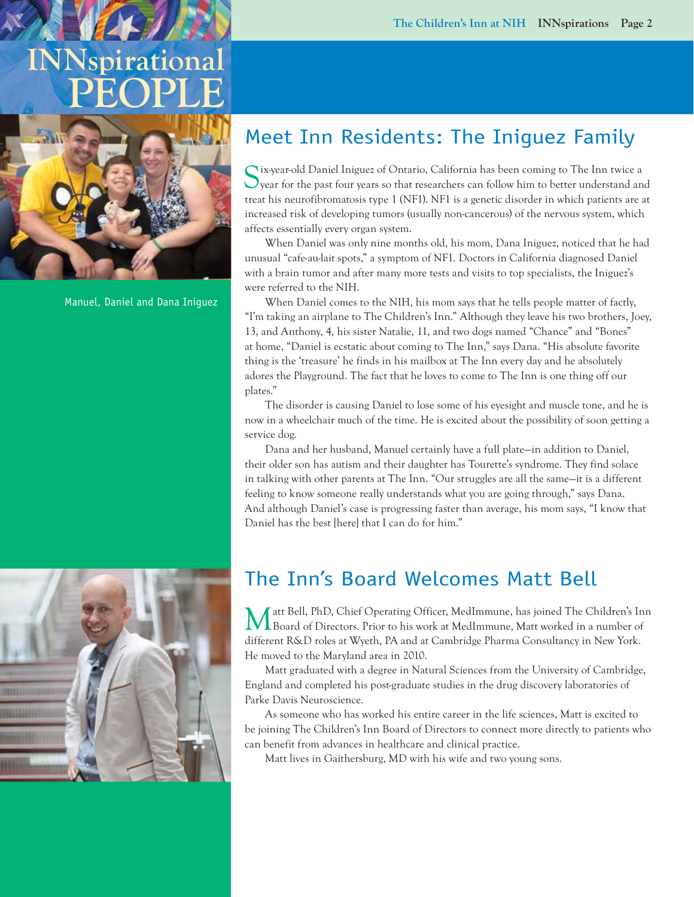# **INNspirational PEOPLE**



Manuel, Daniel and Dana Iniguez

# Meet Inn Residents: The Iniguez Family

Six-year-old Daniel Iniguez of Ontario, California has been coming to The Inn twice a year for the past four years so that researchers can follow him to better understand and treat his neurofibromatosis type 1 (NF1). NF1 is a genetic disorder in which patients are at increased risk of developing tumors (usually non-cancerous) of the nervous system, which affects essentially every organ system.

When Daniel was only nine months old, his mom, Dana Iniguez, noticed that he had unusual "cafe-au-lait spots," a symptom of NF1. Doctors in California diagnosed Daniel with a brain tumor and after many more tests and visits to top specialists, the Iniguez's were referred to the NIH.

When Daniel comes to the NIH, his mom says that he tells people matter of factly, "I'm taking an airplane to The Children's Inn." Although they leave his two brothers, Joey, 13, and Anthony, 4, his sister Natalie, 11, and two dogs named "Chance" and "Bones" at home, "Daniel is ecstatic about coming to The Inn," says Dana. "His absolute favorite thing is the 'treasure' he finds in his mailbox at The Inn every day and he absolutely adores the Playground. The fact that he loves to come to The Inn is one thing off our plates."

The disorder is causing Daniel to lose some of his eyesight and muscle tone, and he is now in a wheelchair much of the time. He is excited about the possibility of soon getting a service dog.

Dana and her husband, Manuel certainly have a full plate—in addition to Daniel, their older son has autism and their daughter has Tourette's syndrome. They find solace in talking with other parents at The Inn. "Our struggles are all the same—it is a different feeling to know someone really understands what you are going through," says Dana. And although Daniel's case is progressing faster than average, his mom says, "I know that Daniel has the best [here] that I can do for him."

# The Inn's Board Welcomes Matt Bell

Matt Bell, PhD, Chief Operating Officer, MedImmune, has joined The Children's Inn Board of Directors. Prior to his work at MedImmune, Matt worked in a number of different R&D roles at Wyeth, PA and at Cambridge Pharma Consultancy in New York. He moved to the Maryland area in 2010.

Matt graduated with a degree in Natural Sciences from the University of Cambridge, England and completed his post-graduate studies in the drug discovery laboratories of Parke Davis Neuroscience.

As someone who has worked his entire career in the life sciences, Matt is excited to be joining The Children's Inn Board of Directors to connect more directly to patients who can benefit from advances in healthcare and clinical practice.

Matt lives in Gaithersburg, MD with his wife and two young sons.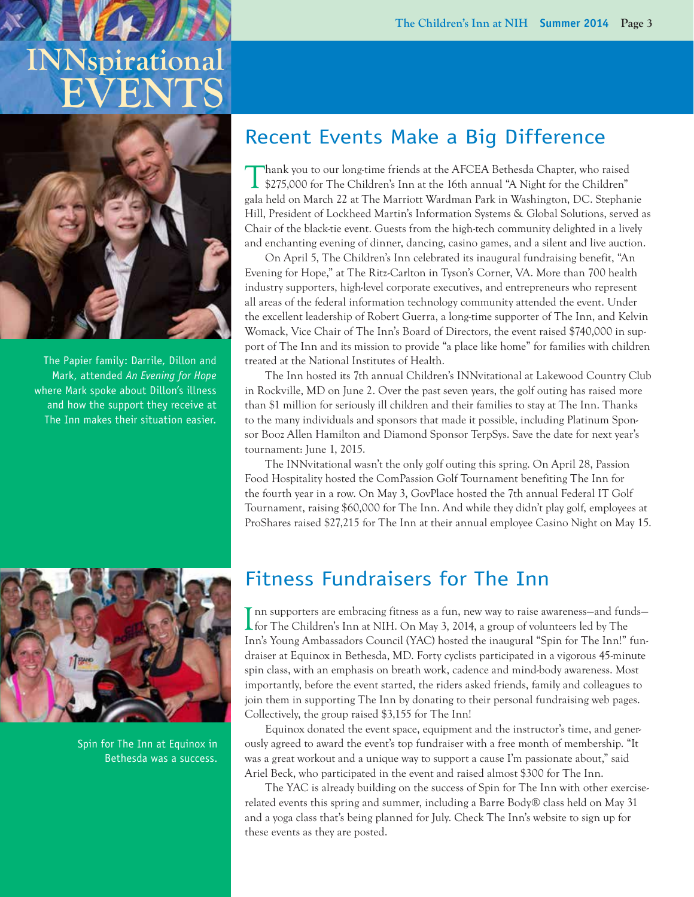# **INNspirational EVEN**



The Papier family: Darrile, Dillon and Mark, attended *An Evening for Hope*  where Mark spoke about Dillon's illness and how the support they receive at The Inn makes their situation easier.

## Recent Events Make a Big Difference

Thank you to our long-time friends at the AFCEA Bethesda Chapter, who raised \$275,000 for The Children's Inn at the 16th annual "A Night for the Children" gala held on March 22 at The Marriott Wardman Park in Washington, DC. Stephanie Hill, President of Lockheed Martin's Information Systems & Global Solutions, served as Chair of the black-tie event. Guests from the high-tech community delighted in a lively and enchanting evening of dinner, dancing, casino games, and a silent and live auction.

On April 5, The Children's Inn celebrated its inaugural fundraising benefit, "An Evening for Hope," at The Ritz-Carlton in Tyson's Corner, VA. More than 700 health industry supporters, high-level corporate executives, and entrepreneurs who represent all areas of the federal information technology community attended the event. Under the excellent leadership of Robert Guerra, a long-time supporter of The Inn, and Kelvin Womack, Vice Chair of The Inn's Board of Directors, the event raised \$740,000 in support of The Inn and its mission to provide "a place like home" for families with children treated at the National Institutes of Health.

The Inn hosted its 7th annual Children's INNvitational at Lakewood Country Club in Rockville, MD on June 2. Over the past seven years, the golf outing has raised more than \$1 million for seriously ill children and their families to stay at The Inn. Thanks to the many individuals and sponsors that made it possible, including Platinum Sponsor Booz Allen Hamilton and Diamond Sponsor TerpSys. Save the date for next year's tournament: June 1, 2015.

The INNvitational wasn't the only golf outing this spring. On April 28, Passion Food Hospitality hosted the ComPassion Golf Tournament benefiting The Inn for the fourth year in a row. On May 3, GovPlace hosted the 7th annual Federal IT Golf Tournament, raising \$60,000 for The Inn. And while they didn't play golf, employees at ProShares raised \$27,215 for The Inn at their annual employee Casino Night on May 15.



Spin for The Inn at Equinox in Bethesda was a success.

## Fitness Fundraisers for The Inn

Inn supporters are embracing fitness as a fun, new way to raise awareness—and fun<br>for The Children's Inn at NIH. On May 3, 2014, a group of volunteers led by The nn supporters are embracing fitness as a fun, new way to raise awareness—and funds— Inn's Young Ambassadors Council (YAC) hosted the inaugural "Spin for The Inn!" fundraiser at Equinox in Bethesda, MD. Forty cyclists participated in a vigorous 45-minute spin class, with an emphasis on breath work, cadence and mind-body awareness. Most importantly, before the event started, the riders asked friends, family and colleagues to join them in supporting The Inn by donating to their personal fundraising web pages. Collectively, the group raised \$3,155 for The Inn!

Equinox donated the event space, equipment and the instructor's time, and generously agreed to award the event's top fundraiser with a free month of membership. "It was a great workout and a unique way to support a cause I'm passionate about," said Ariel Beck, who participated in the event and raised almost \$300 for The Inn.

The YAC is already building on the success of Spin for The Inn with other exerciserelated events this spring and summer, including a Barre Body® class held on May 31 and a yoga class that's being planned for July. Check The Inn's website to sign up for these events as they are posted.